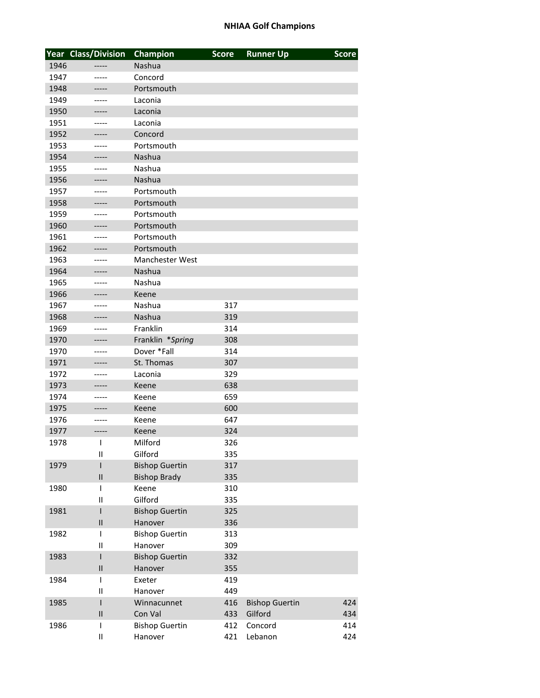|      | <b>Year Class/Division</b> | <b>Champion</b>        | <b>Score</b> | <b>Runner Up</b>      | <b>Score</b> |
|------|----------------------------|------------------------|--------------|-----------------------|--------------|
| 1946 |                            | Nashua                 |              |                       |              |
| 1947 | -----                      | Concord                |              |                       |              |
| 1948 | -----                      | Portsmouth             |              |                       |              |
| 1949 | -----                      | Laconia                |              |                       |              |
| 1950 | -----                      | Laconia                |              |                       |              |
| 1951 | -----                      | Laconia                |              |                       |              |
| 1952 | -----                      | Concord                |              |                       |              |
| 1953 | -----                      | Portsmouth             |              |                       |              |
| 1954 |                            | Nashua                 |              |                       |              |
| 1955 | -----                      | Nashua                 |              |                       |              |
| 1956 | -----                      | Nashua                 |              |                       |              |
| 1957 |                            | Portsmouth             |              |                       |              |
| 1958 | -----                      | Portsmouth             |              |                       |              |
| 1959 | -----                      | Portsmouth             |              |                       |              |
| 1960 |                            | Portsmouth             |              |                       |              |
| 1961 | -----                      | Portsmouth             |              |                       |              |
| 1962 | -----                      | Portsmouth             |              |                       |              |
| 1963 | -----                      | <b>Manchester West</b> |              |                       |              |
| 1964 | -----                      | Nashua                 |              |                       |              |
| 1965 | -----                      | Nashua                 |              |                       |              |
| 1966 |                            | Keene                  |              |                       |              |
| 1967 | -----                      | Nashua                 | 317          |                       |              |
| 1968 | -----                      | Nashua                 | 319          |                       |              |
| 1969 | -----                      | Franklin               | 314          |                       |              |
| 1970 | -----                      | Franklin *Spring       | 308          |                       |              |
| 1970 | -----                      | Dover *Fall            | 314          |                       |              |
| 1971 | -----                      | St. Thomas             | 307          |                       |              |
| 1972 | -----                      | Laconia                | 329          |                       |              |
| 1973 | -----                      | Keene                  | 638          |                       |              |
| 1974 | -----                      | Keene                  | 659          |                       |              |
| 1975 |                            | Keene                  | 600          |                       |              |
| 1976 | -----                      | Keene                  | 647          |                       |              |
| 1977 | -----                      | Keene                  | 324          |                       |              |
| 1978 | T                          | Milford                | 326          |                       |              |
|      | Ш                          | Gilford                | 335          |                       |              |
| 1979 | I                          | <b>Bishop Guertin</b>  | 317          |                       |              |
|      | $\sf II$                   | <b>Bishop Brady</b>    | 335          |                       |              |
| 1980 | I                          | Keene                  | 310          |                       |              |
|      | Ш                          | Gilford                | 335          |                       |              |
| 1981 | I                          | <b>Bishop Guertin</b>  | 325          |                       |              |
|      | $\mathbf{I}$               | Hanover                | 336          |                       |              |
| 1982 | I                          | <b>Bishop Guertin</b>  | 313          |                       |              |
|      | $\mathbf{I}$               | Hanover                | 309          |                       |              |
| 1983 | I                          | <b>Bishop Guertin</b>  | 332          |                       |              |
|      | Ш                          | Hanover                | 355          |                       |              |
| 1984 | I                          | Exeter                 | 419          |                       |              |
|      | Ш                          | Hanover                | 449          |                       |              |
| 1985 | I                          | Winnacunnet            | 416          | <b>Bishop Guertin</b> | 424          |
|      | $\sf II$                   | Con Val                | 433          | Gilford               | 434          |
| 1986 | I                          | <b>Bishop Guertin</b>  | 412          | Concord               | 414          |
|      | Ш                          | Hanover                | 421          | Lebanon               | 424          |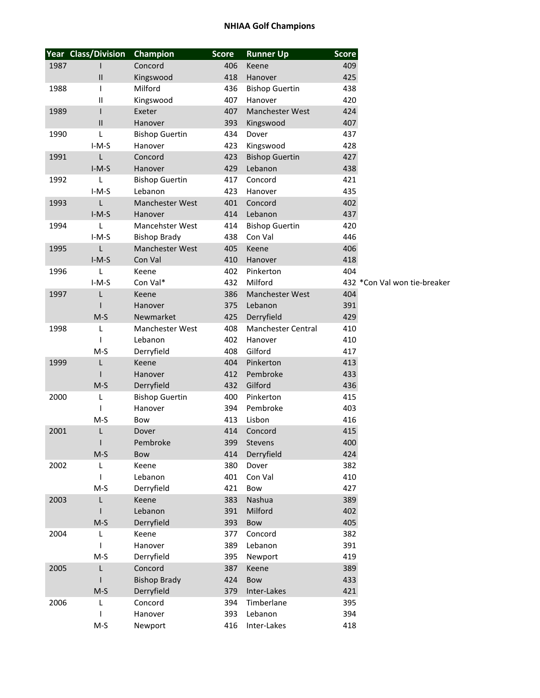|      | <b>Year Class/Division</b>            | Champion              | <b>Score</b> | <b>Runner Up</b>       | <b>Score</b> |                              |
|------|---------------------------------------|-----------------------|--------------|------------------------|--------------|------------------------------|
| 1987 |                                       | Concord               | 406          | Keene                  | 409          |                              |
|      | $\begin{array}{c} \hline \end{array}$ | Kingswood             | 418          | Hanover                | 425          |                              |
| 1988 | I                                     | Milford               | 436          | <b>Bishop Guertin</b>  | 438          |                              |
|      | $\mathsf{II}$                         | Kingswood             | 407          | Hanover                | 420          |                              |
| 1989 | I                                     | Exeter                | 407          | <b>Manchester West</b> | 424          |                              |
|      | $\begin{array}{c} \Pi \end{array}$    | Hanover               | 393          | Kingswood              | 407          |                              |
| 1990 | L                                     | <b>Bishop Guertin</b> | 434          | Dover                  | 437          |                              |
|      | $I-M-S$                               | Hanover               | 423          | Kingswood              | 428          |                              |
| 1991 | L                                     | Concord               | 423          | <b>Bishop Guertin</b>  | 427          |                              |
|      | $I-M-S$                               | Hanover               | 429          | Lebanon                | 438          |                              |
| 1992 | L                                     | <b>Bishop Guertin</b> | 417          | Concord                | 421          |                              |
|      | $I-M-S$                               | Lebanon               | 423          | Hanover                | 435          |                              |
| 1993 | Г                                     | Manchester West       | 401          | Concord                | 402          |                              |
|      |                                       |                       |              |                        |              |                              |
|      | $I-M-S$                               | Hanover               | 414          | Lebanon                | 437          |                              |
| 1994 | L                                     | Mancehster West       | 414          | <b>Bishop Guertin</b>  | 420          |                              |
|      | $I-M-S$                               | <b>Bishop Brady</b>   | 438          | Con Val                | 446          |                              |
| 1995 | L                                     | Manchester West       | 405          | Keene                  | 406          |                              |
|      | $I-M-S$                               | Con Val               | 410          | Hanover                | 418          |                              |
| 1996 | L                                     | Keene                 | 402          | Pinkerton              | 404          |                              |
|      | $I-M-S$                               | Con Val*              | 432          | Milford                |              | 432 *Con Val won tie-breaker |
| 1997 | L                                     | Keene                 | 386          | Manchester West        | 404          |                              |
|      |                                       | Hanover               | 375          | Lebanon                | 391          |                              |
|      | $M-S$                                 | Newmarket             | 425          | Derryfield             | 429          |                              |
| 1998 | L                                     | Manchester West       | 408          | Manchester Central     | 410          |                              |
|      | ı                                     | Lebanon               | 402          | Hanover                | 410          |                              |
|      | $M-S$                                 | Derryfield            | 408          | Gilford                | 417          |                              |
| 1999 | Г                                     | Keene                 | 404          | Pinkerton              | 413          |                              |
|      |                                       | Hanover               | 412          | Pembroke               | 433          |                              |
|      | $M-S$                                 | Derryfield            | 432          | Gilford                | 436          |                              |
| 2000 | L                                     | <b>Bishop Guertin</b> | 400          | Pinkerton              | 415          |                              |
|      | ı                                     | Hanover               | 394          | Pembroke               | 403          |                              |
|      | $M-S$                                 | Bow                   | 413          | Lisbon                 | 416          |                              |
| 2001 | L                                     | Dover                 | 414          | Concord                | 415          |                              |
|      | $\mathbf{I}$                          | Pembroke              |              | 399 Stevens            | 400          |                              |
|      | $M-S$                                 | Bow                   | 414          | Derryfield             | 424          |                              |
| 2002 | L                                     | Keene                 | 380          | Dover                  | 382          |                              |
|      | I                                     | Lebanon               | 401          | Con Val                | 410          |                              |
|      | $M-S$                                 | Derryfield            | 421          | Bow                    | 427          |                              |
| 2003 | Г                                     | Keene                 | 383          | Nashua                 | 389          |                              |
|      |                                       | Lebanon               | 391          | Milford                | 402          |                              |
|      |                                       |                       |              |                        |              |                              |
|      | $M-S$                                 | Derryfield            | 393          | Bow                    | 405          |                              |
| 2004 | L                                     | Keene                 | 377          | Concord                | 382          |                              |
|      | L                                     | Hanover               | 389          | Lebanon                | 391          |                              |
|      | $M-S$                                 | Derryfield            | 395          | Newport                | 419          |                              |
| 2005 | L                                     | Concord               | 387          | Keene                  | 389          |                              |
|      |                                       | <b>Bishop Brady</b>   | 424          | Bow                    | 433          |                              |
|      | $M-S$                                 | Derryfield            | 379          | Inter-Lakes            | 421          |                              |
| 2006 | L                                     | Concord               | 394          | Timberlane             | 395          |                              |
|      |                                       | Hanover               | 393          | Lebanon                | 394          |                              |
|      | $M-S$                                 | Newport               | 416          | Inter-Lakes            | 418          |                              |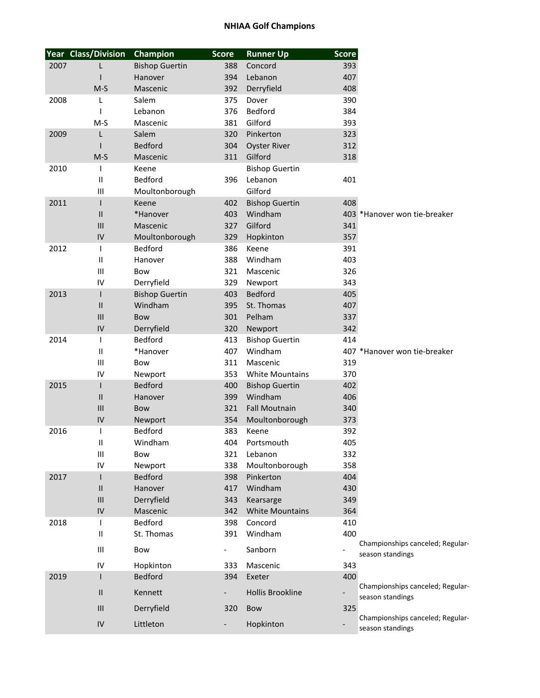|      | Year Class/Division        | Champion              | <b>Score</b>             | <b>Runner Up</b>        | <b>Score</b> |                                                      |
|------|----------------------------|-----------------------|--------------------------|-------------------------|--------------|------------------------------------------------------|
| 2007 | L                          | <b>Bishop Guertin</b> | 388                      | Concord                 | 393          |                                                      |
|      |                            | Hanover               | 394                      | Lebanon                 | 407          |                                                      |
|      | $M-S$                      | Mascenic              | 392                      | Derryfield              | 408          |                                                      |
| 2008 | L                          | Salem                 | 375                      | Dover                   | 390          |                                                      |
|      |                            | Lebanon               | 376                      | Bedford                 | 384          |                                                      |
|      | $M-S$                      | Mascenic              | 381                      | Gilford                 | 393          |                                                      |
| 2009 | L                          | Salem                 | 320                      | Pinkerton               | 323          |                                                      |
|      |                            | Bedford               | 304                      | <b>Oyster River</b>     | 312          |                                                      |
|      | $M-S$                      | Mascenic              | 311                      | Gilford                 | 318          |                                                      |
| 2010 |                            | Keene                 |                          | <b>Bishop Guertin</b>   |              |                                                      |
|      | $\mathbf{  }$              | Bedford               | 396                      | Lebanon                 | 401          |                                                      |
|      | Ш                          | Moultonborough        |                          | Gilford                 |              |                                                      |
| 2011 | $\mathbf{I}$               | Keene                 | 402                      | <b>Bishop Guertin</b>   | 408          |                                                      |
|      | Ш                          | *Hanover              | 403                      | Windham                 |              | 403 *Hanover won tie-breaker                         |
|      | III                        | Mascenic              | 327                      | Gilford                 | 341          |                                                      |
|      | ${\sf IV}$                 | Moultonborough        | 329                      | Hopkinton               | 357          |                                                      |
| 2012 | T                          | Bedford               | 386                      | Keene                   | 391          |                                                      |
|      | $\mathbf{  }$              | Hanover               | 388                      | Windham                 | 403          |                                                      |
|      | Ш                          | Bow                   | 321                      | Mascenic                | 326          |                                                      |
|      | IV                         | Derryfield            | 329                      | Newport                 | 343          |                                                      |
| 2013 | $\mathsf{I}$               | <b>Bishop Guertin</b> | 403                      | <b>Bedford</b>          | 405          |                                                      |
|      | $\mathsf{I}\mathsf{I}$     | Windham               | 395                      | St. Thomas              | 407          |                                                      |
|      | III                        | Bow                   | 301                      | Pelham                  | 337          |                                                      |
|      | IV                         | Derryfield            | 320                      | Newport                 | 342          |                                                      |
| 2014 | T                          | Bedford               | 413                      | <b>Bishop Guertin</b>   | 414          |                                                      |
|      | $\sf II$                   | *Hanover              | 407                      | Windham                 |              | 407 *Hanover won tie-breaker                         |
|      | Ш                          | Bow                   | 311                      | Mascenic                | 319          |                                                      |
|      | IV                         | Newport               | 353                      | <b>White Mountains</b>  | 370          |                                                      |
| 2015 | $\mathbf{I}$               | Bedford               | 400                      | <b>Bishop Guertin</b>   | 402          |                                                      |
|      | $\ensuremath{\mathsf{II}}$ | Hanover               | 399                      | Windham                 | 406          |                                                      |
|      | III                        | Bow                   | 321                      | <b>Fall Moutnain</b>    | 340          |                                                      |
|      | IV                         | Newport               | 354                      | Moultonborough          | 373          |                                                      |
| 2016 |                            | Bedford               | 383                      | Keene                   | 392          |                                                      |
|      | Ш                          | Windham               | 404                      | Portsmouth              | 405          |                                                      |
|      | Ш                          | Bow                   | 321                      | Lebanon                 | 332          |                                                      |
|      | IV                         | Newport               | 338                      | Moultonborough          | 358          |                                                      |
| 2017 |                            | Bedford               | 398                      | Pinkerton               | 404          |                                                      |
|      | Ш                          | Hanover               | 417                      | Windham                 | 430          |                                                      |
|      | $\mathbf{III}$             | Derryfield            | 343                      | Kearsarge               | 349          |                                                      |
|      | IV                         | Mascenic              | 342                      | <b>White Mountains</b>  | 364          |                                                      |
| 2018 |                            | Bedford               | 398                      | Concord                 | 410          |                                                      |
|      | Ш                          | St. Thomas            | 391                      | Windham                 | 400          |                                                      |
|      | Ш                          | Bow                   | $\overline{\phantom{a}}$ | Sanborn                 |              | Championships canceled; Regular-<br>season standings |
|      | IV                         | Hopkinton             | 333                      | Mascenic                | 343          |                                                      |
| 2019 |                            | Bedford               | 394                      | Exeter                  | 400          |                                                      |
|      | Ш                          | Kennett               |                          | <b>Hollis Brookline</b> |              | Championships canceled; Regular-<br>season standings |
|      | III                        | Derryfield            | 320                      | Bow                     | 325          |                                                      |
|      | ${\sf IV}$                 | Littleton             |                          | Hopkinton               |              | Championships canceled; Regular-<br>season standings |